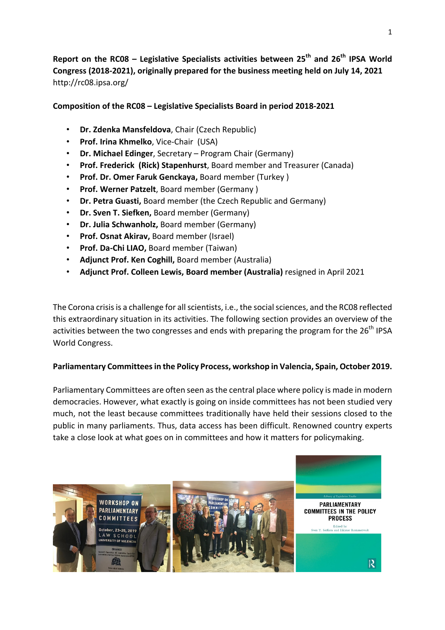Report on the RC08 – Legislative Specialists activities between 25<sup>th</sup> and 26<sup>th</sup> IPSA World Congress (2018-2021), originally prepared for the business meeting held on July 14, 2021 http://rc08.ipsa.org/ 

## **Composition of the RC08 – Legislative Specialists Board in period 2018-2021**

- **Dr. Zdenka Mansfeldova**, Chair (Czech Republic)
- **Prof. Irina Khmelko**, Vice-Chair (USA)
- **Dr. Michael Edinger**, Secretary Program Chair (Germany)
- **Prof. Frederick (Rick) Stapenhurst**, Board member and Treasurer (Canada)
- **Prof. Dr. Omer Faruk Genckaya, Board member (Turkey)**
- Prof. Werner Patzelt, Board member (Germany)
- **Dr. Petra Guasti.** Board member (the Czech Republic and Germany)
- **Dr. Sven T. Siefken, Board member (Germany)**
- Dr. Julia Schwanholz, Board member (Germany)
- **Prof. Osnat Akirav.** Board member (Israel)
- **Prof. Da-Chi LIAO, Board member (Taiwan)**
- Adjunct Prof. Ken Coghill, Board member (Australia)
- Adjunct Prof. Colleen Lewis, Board member (Australia) resigned in April 2021

The Corona crisis is a challenge for all scientists, i.e., the social sciences, and the RC08 reflected this extraordinary situation in its activities. The following section provides an overview of the activities between the two congresses and ends with preparing the program for the  $26<sup>th</sup>$  IPSA World Congress.

# Parliamentary Committees in the Policy Process, workshop in Valencia, Spain, October 2019.

Parliamentary Committees are often seen as the central place where policy is made in modern democracies. However, what exactly is going on inside committees has not been studied very much, not the least because committees traditionally have held their sessions closed to the public in many parliaments. Thus, data access has been difficult. Renowned country experts take a close look at what goes on in committees and how it matters for policymaking.

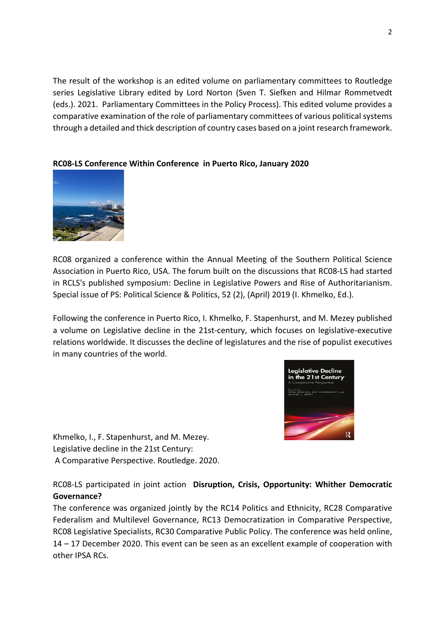The result of the workshop is an edited volume on parliamentary committees to Routledge series Legislative Library edited by Lord Norton (Sven T. Siefken and Hilmar Rommetvedt (eds.). 2021. Parliamentary Committees in the Policy Process). This edited volume provides a comparative examination of the role of parliamentary committees of various political systems through a detailed and thick description of country cases based on a joint research framework.

## **RC08-LS Conference Within Conference in Puerto Rico, January 2020**



RC08 organized a conference within the Annual Meeting of the Southern Political Science Association in Puerto Rico, USA. The forum built on the discussions that RC08-LS had started in RCLS's published symposium: Decline in Legislative Powers and Rise of Authoritarianism. Special issue of PS: Political Science & Politics, 52 (2), (April) 2019 (I. Khmelko, Ed.).

Following the conference in Puerto Rico, I. Khmelko, F. Stapenhurst, and M. Mezey published a volume on Legislative decline in the 21st-century, which focuses on legislative-executive relations worldwide. It discusses the decline of legislatures and the rise of populist executives in many countries of the world.



Khmelko, I., F. Stapenhurst, and M. Mezey. Legislative decline in the 21st Century: A Comparative Perspective. Routledge. 2020.

RC08-LS participated in joint action **Disruption, Crisis, Opportunity: Whither Democratic Governance?**

The conference was organized jointly by the RC14 Politics and Ethnicity, RC28 Comparative Federalism and Multilevel Governance, RC13 Democratization in Comparative Perspective, RC08 Legislative Specialists, RC30 Comparative Public Policy. The conference was held online,  $14 - 17$  December 2020. This event can be seen as an excellent example of cooperation with other IPSA RCs.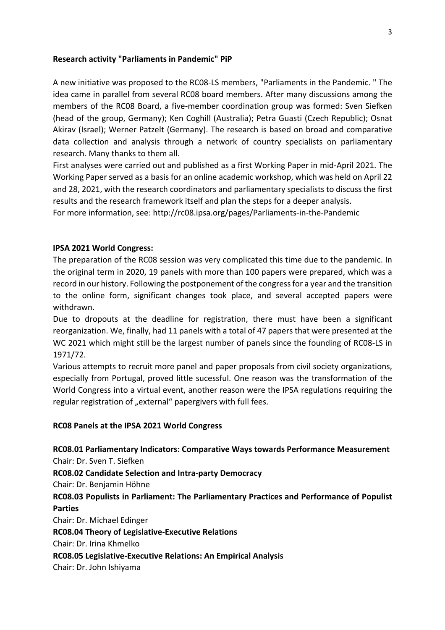#### **Research activity "Parliaments in Pandemic" PiP**

A new initiative was proposed to the RC08-LS members, "Parliaments in the Pandemic. " The idea came in parallel from several RC08 board members. After many discussions among the members of the RC08 Board, a five-member coordination group was formed: Sven Siefken (head of the group, Germany); Ken Coghill (Australia); Petra Guasti (Czech Republic); Osnat Akirav (Israel); Werner Patzelt (Germany). The research is based on broad and comparative data collection and analysis through a network of country specialists on parliamentary research. Many thanks to them all.

First analyses were carried out and published as a first Working Paper in mid-April 2021. The Working Paper served as a basis for an online academic workshop, which was held on April 22 and 28, 2021, with the research coordinators and parliamentary specialists to discuss the first results and the research framework itself and plan the steps for a deeper analysis.

For more information, see: http://rc08.ipsa.org/pages/Parliaments-in-the-Pandemic

#### **IPSA 2021 World Congress:**

The preparation of the RC08 session was very complicated this time due to the pandemic. In the original term in 2020, 19 panels with more than 100 papers were prepared, which was a record in our history. Following the postponement of the congress for a year and the transition to the online form, significant changes took place, and several accepted papers were withdrawn.

Due to dropouts at the deadline for registration, there must have been a significant reorganization. We, finally, had 11 panels with a total of 47 papers that were presented at the WC 2021 which might still be the largest number of panels since the founding of RC08-LS in 1971/72.

Various attempts to recruit more panel and paper proposals from civil society organizations, especially from Portugal, proved little sucessful. One reason was the transformation of the World Congress into a virtual event, another reason were the IPSA regulations requiring the regular registration of "external" papergivers with full fees.

#### **RC08 Panels at the IPSA 2021 World Congress**

**RC08.01 Parliamentary Indicators: Comparative Ways towards Performance Measurement** Chair: Dr. Sven T. Siefken **RC08.02 Candidate Selection and Intra-party Democracy** Chair: Dr. Benjamin Höhne **RC08.03 Populists in Parliament: The Parliamentary Practices and Performance of Populist Parties** Chair: Dr. Michael Edinger **RC08.04 Theory of Legislative-Executive Relations** Chair: Dr. Irina Khmelko **RC08.05 Legislative-Executive Relations: An Empirical Analysis**

Chair: Dr. John Ishiyama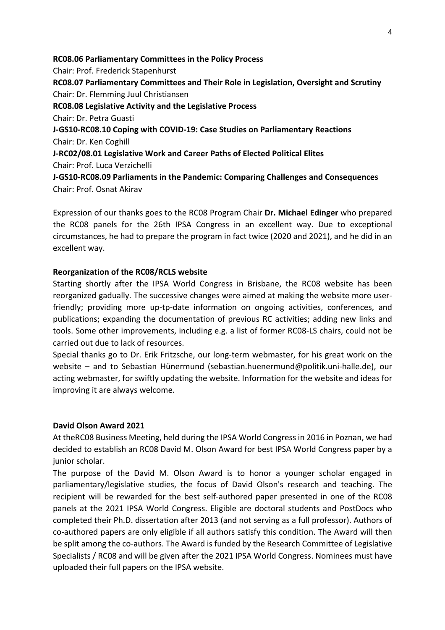**RC08.06 Parliamentary Committees in the Policy Process** Chair: Prof. Frederick Stapenhurst **RC08.07 Parliamentary Committees and Their Role in Legislation, Oversight and Scrutiny** Chair: Dr. Flemming Juul Christiansen **RC08.08 Legislative Activity and the Legislative Process** Chair: Dr. Petra Guasti **J-GS10-RC08.10 Coping with COVID-19: Case Studies on Parliamentary Reactions** Chair: Dr. Ken Coghill **J-RC02/08.01 Legislative Work and Career Paths of Elected Political Elites** Chair: Prof. Luca Verzichelli **J-GS10-RC08.09 Parliaments in the Pandemic: Comparing Challenges and Consequences** Chair: Prof. Osnat Akirav

Expression of our thanks goes to the RC08 Program Chair Dr. Michael Edinger who prepared the RC08 panels for the 26th IPSA Congress in an excellent way. Due to exceptional circumstances, he had to prepare the program in fact twice (2020 and 2021), and he did in an excellent way.

## **Reorganization of the RC08/RCLS website**

Starting shortly after the IPSA World Congress in Brisbane, the RC08 website has been reorganized gadually. The successive changes were aimed at making the website more userfriendly; providing more up-tp-date information on ongoing activities, conferences, and publications; expanding the documentation of previous RC activities; adding new links and tools. Some other improvements, including e.g. a list of former RC08-LS chairs, could not be carried out due to lack of resources.

Special thanks go to Dr. Erik Fritzsche, our long-term webmaster, for his great work on the website – and to Sebastian Hünermund (sebastian.huenermund@politik.uni-halle.de), our acting webmaster, for swiftly updating the website. Information for the website and ideas for improving it are always welcome.

### **David Olson Award 2021**

At theRC08 Business Meeting, held during the IPSA World Congress in 2016 in Poznan, we had decided to establish an RC08 David M. Olson Award for best IPSA World Congress paper by a junior scholar.

The purpose of the David M. Olson Award is to honor a younger scholar engaged in parliamentary/legislative studies, the focus of David Olson's research and teaching. The recipient will be rewarded for the best self-authored paper presented in one of the RC08 panels at the 2021 IPSA World Congress. Eligible are doctoral students and PostDocs who completed their Ph.D. dissertation after 2013 (and not serving as a full professor). Authors of co-authored papers are only eligible if all authors satisfy this condition. The Award will then be split among the co-authors. The Award is funded by the Research Committee of Legislative Specialists / RC08 and will be given after the 2021 IPSA World Congress. Nominees must have uploaded their full papers on the IPSA website.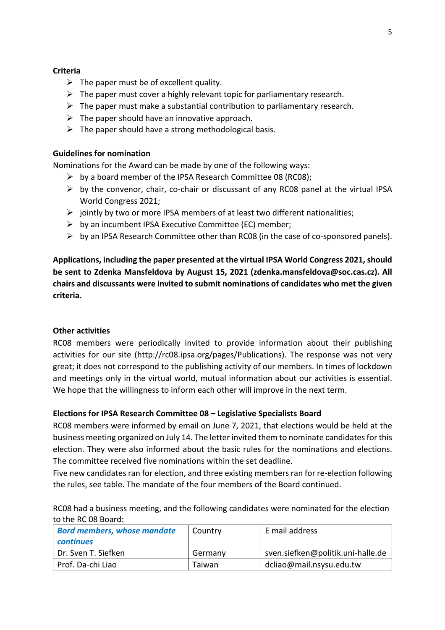### **Criteria**

- $\triangleright$  The paper must be of excellent quality.
- $\triangleright$  The paper must cover a highly relevant topic for parliamentary research.
- $\triangleright$  The paper must make a substantial contribution to parliamentary research.
- $\triangleright$  The paper should have an innovative approach.
- $\triangleright$  The paper should have a strong methodological basis.

#### **Guidelines for nomination**

Nominations for the Award can be made by one of the following ways:

- $\triangleright$  by a board member of the IPSA Research Committee 08 (RC08);
- $\triangleright$  by the convenor, chair, co-chair or discussant of any RC08 panel at the virtual IPSA World Congress 2021:
- $\triangleright$  jointly by two or more IPSA members of at least two different nationalities;
- $\triangleright$  by an incumbent IPSA Executive Committee (EC) member;
- $\triangleright$  by an IPSA Research Committee other than RC08 (in the case of co-sponsored panels).

Applications, including the paper presented at the virtual IPSA World Congress 2021, should **be sent to Zdenka Mansfeldova by August 15, 2021 (zdenka.mansfeldova@soc.cas.cz).** All chairs and discussants were invited to submit nominations of candidates who met the given **criteria.**

#### **Other activities**

RC08 members were periodically invited to provide information about their publishing activities for our site (http://rc08.ipsa.org/pages/Publications). The response was not very great; it does not correspond to the publishing activity of our members. In times of lockdown and meetings only in the virtual world, mutual information about our activities is essential. We hope that the willingness to inform each other will improve in the next term.

### **Elections for IPSA Research Committee 08 - Legislative Specialists Board**

RC08 members were informed by email on June 7, 2021, that elections would be held at the business meeting organized on July 14. The letter invited them to nominate candidates for this election. They were also informed about the basic rules for the nominations and elections. The committee received five nominations within the set deadline.

Five new candidates ran for election, and three existing members ran for re-election following the rules, see table. The mandate of the four members of the Board continued.

RC08 had a business meeting, and the following candidates were nominated for the election to the RC 08 Board:

| <b>Bord members, whose mandate</b><br><b>continues</b> | Country | E mail address                    |
|--------------------------------------------------------|---------|-----------------------------------|
| Dr. Sven T. Siefken                                    | Germany | sven.siefken@politik.uni-halle.de |
| Prof. Da-chi Liao                                      | Taiwan  | dcliao@mail.nsysu.edu.tw          |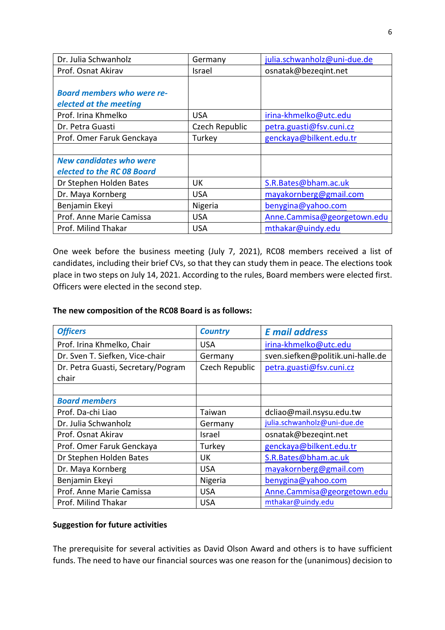| Dr. Julia Schwanholz              | Germany        | julia.schwanholz@uni-due.de |
|-----------------------------------|----------------|-----------------------------|
| Prof. Osnat Akirav                | Israel         | osnatak@bezeqint.net        |
|                                   |                |                             |
| <b>Board members who were re-</b> |                |                             |
| elected at the meeting            |                |                             |
| Prof. Irina Khmelko               | <b>USA</b>     | irina-khmelko@utc.edu       |
| Dr. Petra Guasti                  | Czech Republic | petra.guasti@fsv.cuni.cz    |
| Prof. Omer Faruk Genckaya         | Turkey         | genckaya@bilkent.edu.tr     |
|                                   |                |                             |
| <b>New candidates who were</b>    |                |                             |
| elected to the RC 08 Board        |                |                             |
| Dr Stephen Holden Bates           | UK             | S.R.Bates@bham.ac.uk        |
| Dr. Maya Kornberg                 | <b>USA</b>     | mayakornberg@gmail.com      |
| Benjamin Ekeyi                    | Nigeria        | benygina@yahoo.com          |
| Prof. Anne Marie Camissa          | <b>USA</b>     | Anne.Cammisa@georgetown.edu |
| Prof. Milind Thakar               | <b>USA</b>     | mthakar@uindy.edu           |

One week before the business meeting (July 7, 2021), RC08 members received a list of candidates, including their brief CVs, so that they can study them in peace. The elections took place in two steps on July 14, 2021. According to the rules, Board members were elected first. Officers were elected in the second step.

### The new composition of the RC08 Board is as follows:

| <b>Officers</b>                             | <b>Country</b> | <b>E</b> mail address             |
|---------------------------------------------|----------------|-----------------------------------|
| Prof. Irina Khmelko, Chair                  | <b>USA</b>     | irina-khmelko@utc.edu             |
| Dr. Sven T. Siefken, Vice-chair             | Germany        | sven.siefken@politik.uni-halle.de |
| Dr. Petra Guasti, Secretary/Pogram<br>chair | Czech Republic | petra.guasti@fsv.cuni.cz          |
|                                             |                |                                   |
| <b>Board members</b>                        |                |                                   |
| Prof. Da-chi Liao                           | Taiwan         | dcliao@mail.nsysu.edu.tw          |
| Dr. Julia Schwanholz                        | Germany        | julia.schwanholz@uni-due.de       |
| Prof. Osnat Akirav                          | Israel         | osnatak@bezegint.net              |
| Prof. Omer Faruk Genckaya                   | Turkey         | genckaya@bilkent.edu.tr           |
| Dr Stephen Holden Bates                     | UK             | S.R.Bates@bham.ac.uk              |
| Dr. Maya Kornberg                           | <b>USA</b>     | mayakornberg@gmail.com            |
| Benjamin Ekeyi                              | Nigeria        | benygina@yahoo.com                |
| Prof. Anne Marie Camissa                    | <b>USA</b>     | Anne.Cammisa@georgetown.edu       |
| Prof. Milind Thakar                         | <b>USA</b>     | mthakar@uindy.edu                 |

## **Suggestion for future activities**

The prerequisite for several activities as David Olson Award and others is to have sufficient funds. The need to have our financial sources was one reason for the (unanimous) decision to